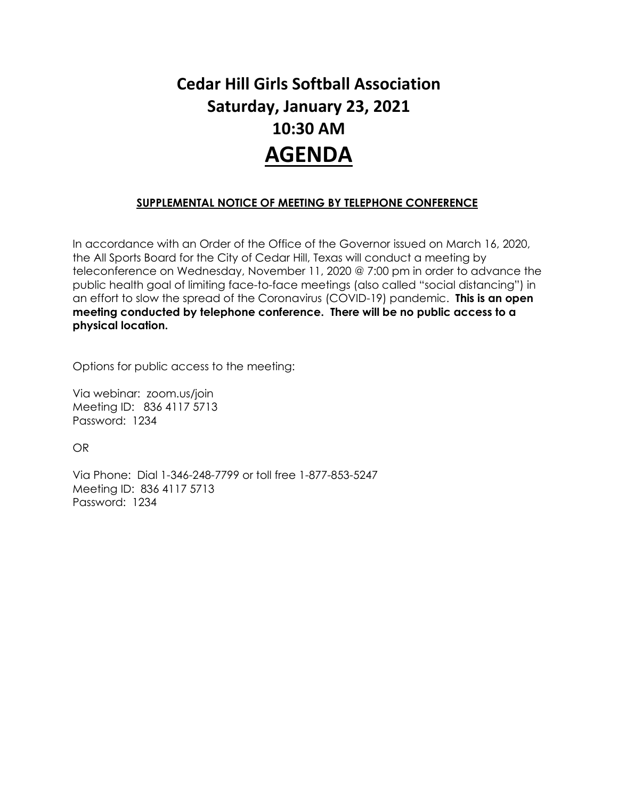# **Cedar Hill Girls Softball Association Saturday, January 23, 2021 10:30 AM AGENDA**

### **SUPPLEMENTAL NOTICE OF MEETING BY TELEPHONE CONFERENCE**

In accordance with an Order of the Office of the Governor issued on March 16, 2020, the All Sports Board for the City of Cedar Hill, Texas will conduct a meeting by teleconference on Wednesday, November 11, 2020 @ 7:00 pm in order to advance the public health goal of limiting face-to-face meetings (also called "social distancing") in an effort to slow the spread of the Coronavirus (COVID-19) pandemic. **This is an open meeting conducted by telephone conference. There will be no public access to a physical location.**

Options for public access to the meeting:

Via webinar: zoom.us/join Meeting ID: 836 4117 5713 Password: 1234

OR

Via Phone: Dial 1-346-248-7799 or toll free 1-877-853-5247 Meeting ID: 836 4117 5713 Password: 1234